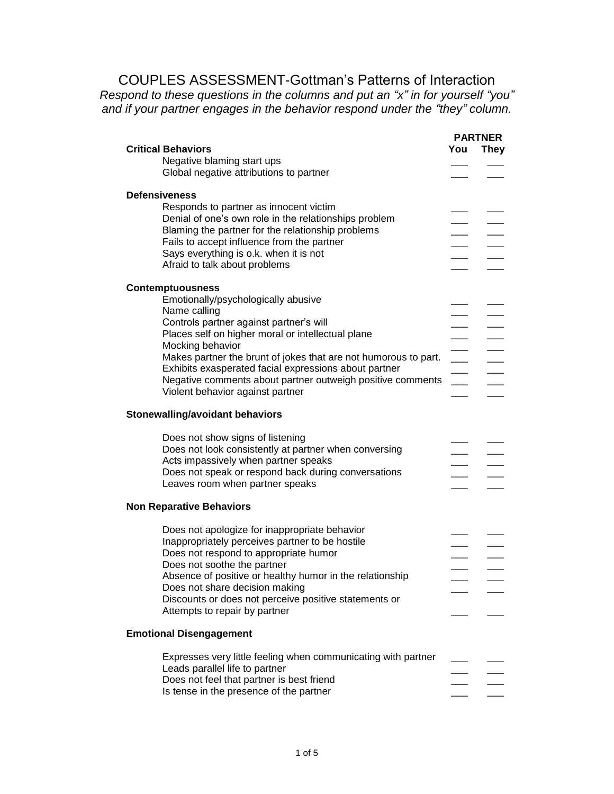## COUPLES ASSESSMENT-Gottman's Patterns of Interaction

*Respond to these questions in the columns and put an "x" in for yourself "you" and if your partner engages in the behavior respond under the "they" column.*

|                                                                 |                          | <b>PARTNER</b> |
|-----------------------------------------------------------------|--------------------------|----------------|
| <b>Critical Behaviors</b>                                       | You                      | They           |
| Negative blaming start ups                                      |                          |                |
| Global negative attributions to partner                         |                          |                |
|                                                                 |                          |                |
|                                                                 |                          |                |
| <b>Defensiveness</b>                                            |                          |                |
| Responds to partner as innocent victim                          |                          |                |
| Denial of one's own role in the relationships problem           |                          |                |
| Blaming the partner for the relationship problems               |                          |                |
| Fails to accept influence from the partner                      |                          |                |
| Says everything is o.k. when it is not                          |                          |                |
| Afraid to talk about problems                                   |                          |                |
|                                                                 |                          |                |
|                                                                 |                          |                |
| <b>Contemptuousness</b>                                         |                          |                |
| Emotionally/psychologically abusive                             |                          |                |
| Name calling                                                    |                          |                |
| Controls partner against partner's will                         |                          |                |
| Places self on higher moral or intellectual plane               |                          |                |
| Mocking behavior                                                |                          |                |
| Makes partner the brunt of jokes that are not humorous to part. | $\overline{\phantom{a}}$ |                |
| Exhibits exasperated facial expressions about partner           |                          |                |
|                                                                 |                          |                |
| Negative comments about partner outweigh positive comments      | $\overline{\phantom{a}}$ |                |
| Violent behavior against partner                                |                          |                |
|                                                                 |                          |                |
| <b>Stonewalling/avoidant behaviors</b>                          |                          |                |
|                                                                 |                          |                |
| Does not show signs of listening                                |                          |                |
| Does not look consistently at partner when conversing           |                          |                |
| Acts impassively when partner speaks                            |                          |                |
| Does not speak or respond back during conversations             |                          |                |
| Leaves room when partner speaks                                 |                          |                |
|                                                                 |                          |                |
| <b>Non Reparative Behaviors</b>                                 |                          |                |
|                                                                 |                          |                |
| Does not apologize for inappropriate behavior                   |                          |                |
| Inappropriately perceives partner to be hostile                 |                          |                |
|                                                                 |                          |                |
| Does not respond to appropriate humor                           |                          |                |
| Does not soothe the partner                                     |                          |                |
| Absence of positive or healthy humor in the relationship        |                          |                |
| Does not share decision making                                  |                          |                |
| Discounts or does not perceive positive statements or           |                          |                |
| Attempts to repair by partner                                   |                          |                |
|                                                                 |                          |                |
| <b>Emotional Disengagement</b>                                  |                          |                |
|                                                                 |                          |                |
| Expresses very little feeling when communicating with partner   |                          |                |
| Leads parallel life to partner                                  |                          |                |
| Does not feel that partner is best friend                       |                          |                |
| Is tense in the presence of the partner                         |                          |                |
|                                                                 |                          |                |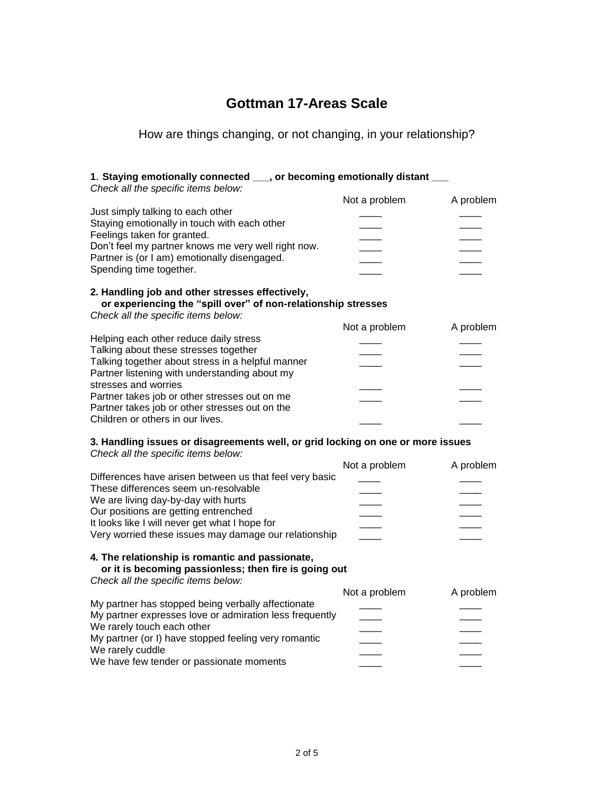# **Gottman 17-Areas Scale**

## How are things changing, or not changing, in your relationship?

| 1. Staying emotionally connected ___, or becoming emotionally distant ___<br>Check all the specific items below:                                        |               |           |
|---------------------------------------------------------------------------------------------------------------------------------------------------------|---------------|-----------|
|                                                                                                                                                         | Not a problem | A problem |
| Just simply talking to each other<br>Staying emotionally in touch with each other                                                                       |               |           |
| Feelings taken for granted.<br>Don't feel my partner knows me very well right now.                                                                      |               |           |
| Partner is (or I am) emotionally disengaged.                                                                                                            |               |           |
| Spending time together.                                                                                                                                 |               |           |
| 2. Handling job and other stresses effectively,<br>or experiencing the "spill over" of non-relationship stresses<br>Check all the specific items below: |               |           |
|                                                                                                                                                         | Not a problem | A problem |
| Helping each other reduce daily stress                                                                                                                  |               |           |
| Talking about these stresses together                                                                                                                   |               |           |
| Talking together about stress in a helpful manner                                                                                                       |               |           |
| Partner listening with understanding about my<br>stresses and worries                                                                                   |               |           |
| Partner takes job or other stresses out on me                                                                                                           |               |           |
| Partner takes job or other stresses out on the                                                                                                          |               |           |
| Children or others in our lives.                                                                                                                        |               |           |
| 3. Handling issues or disagreements well, or grid locking on one or more issues<br>Check all the specific items below:                                  |               |           |
|                                                                                                                                                         | Not a problem | A problem |
| Differences have arisen between us that feel very basic<br>These differences seem un-resolvable                                                         |               |           |
| We are living day-by-day with hurts                                                                                                                     |               |           |
| Our positions are getting entrenched                                                                                                                    |               |           |
| It looks like I will never get what I hope for                                                                                                          |               |           |
| Very worried these issues may damage our relationship                                                                                                   |               |           |
| 4. The relationship is romantic and passionate,<br>or it is becoming passionless; then fire is going out                                                |               |           |
| Check all the specific items below:                                                                                                                     |               |           |
|                                                                                                                                                         | Not a problem | A problem |
| My partner has stopped being verbally affectionate                                                                                                      |               |           |
| My partner expresses love or admiration less frequently                                                                                                 |               |           |
| We rarely touch each other                                                                                                                              |               |           |
| My partner (or I) have stopped feeling very romantic                                                                                                    |               |           |
| We rarely cuddle                                                                                                                                        |               |           |
| We have few tender or passionate moments                                                                                                                |               |           |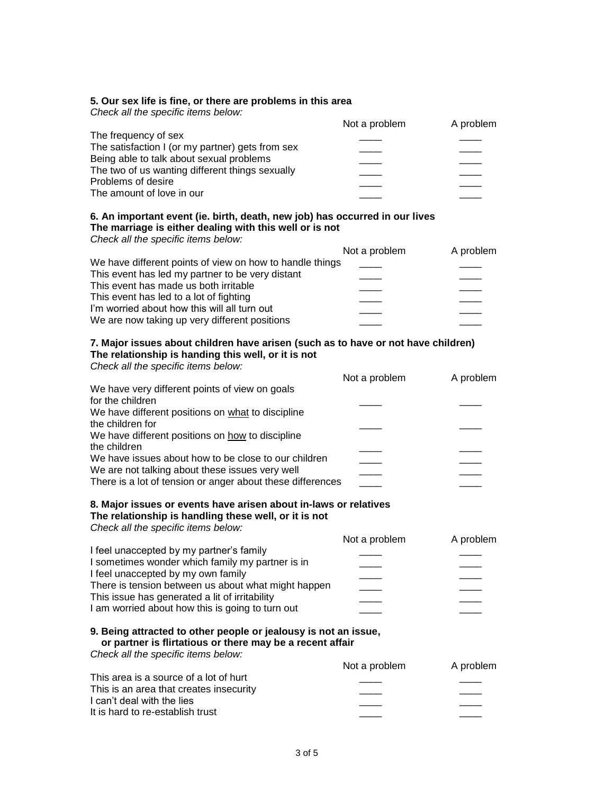#### **5. Our sex life is fine, or there are problems in this area**

| Check all the specific items below:              |               |           |
|--------------------------------------------------|---------------|-----------|
|                                                  | Not a problem | A problem |
| The frequency of sex                             |               |           |
| The satisfaction I (or my partner) gets from sex |               |           |
| Being able to talk about sexual problems         |               |           |
| The two of us wanting different things sexually  |               |           |
| Problems of desire                               |               |           |
| The amount of love in our                        |               |           |
|                                                  |               |           |
|                                                  |               |           |

### **6. An important event (ie. birth, death, new job) has occurred in our lives The marriage is either dealing with this well or is not**

*Check all the specific items below:*

| Not a problem                                            | A problem |
|----------------------------------------------------------|-----------|
| We have different points of view on how to handle things |           |
|                                                          |           |
|                                                          |           |
|                                                          |           |
|                                                          |           |
|                                                          |           |
|                                                          |           |

#### **7. Major issues about children have arisen (such as to have or not have children) The relationship is handing this well, or it is not** *Check all the specific items below:*

| Cribble all the specific items below.                      |               |           |
|------------------------------------------------------------|---------------|-----------|
|                                                            | Not a problem | A problem |
| We have very different points of view on goals             |               |           |
| for the children                                           |               |           |
| We have different positions on what to discipline          |               |           |
| the children for                                           |               |           |
| We have different positions on how to discipline           |               |           |
| the children                                               |               |           |
| We have issues about how to be close to our children       |               |           |
| We are not talking about these issues very well            |               |           |
| There is a lot of tension or anger about these differences |               |           |
|                                                            |               |           |

#### **8. Major issues or events have arisen about in-laws or relatives The relationship is handling these well, or it is not**

| Check all the specific items below:                 |               |           |
|-----------------------------------------------------|---------------|-----------|
|                                                     | Not a problem | A problem |
| I feel unaccepted by my partner's family            |               |           |
| I sometimes wonder which family my partner is in    |               |           |
| I feel unaccepted by my own family                  |               |           |
| There is tension between us about what might happen |               |           |
| This issue has generated a lit of irritability      |               |           |
| I am worried about how this is going to turn out    |               |           |
|                                                     |               |           |

#### **9. Being attracted to other people or jealousy is not an issue, or partner is flirtatious or there may be a recent affair**

*Check all the specific items below:*

|                                         | Not a problem | A problem |
|-----------------------------------------|---------------|-----------|
| This area is a source of a lot of hurt  |               |           |
| This is an area that creates insecurity |               |           |
| I can't deal with the lies              |               |           |
| It is hard to re-establish trust        |               |           |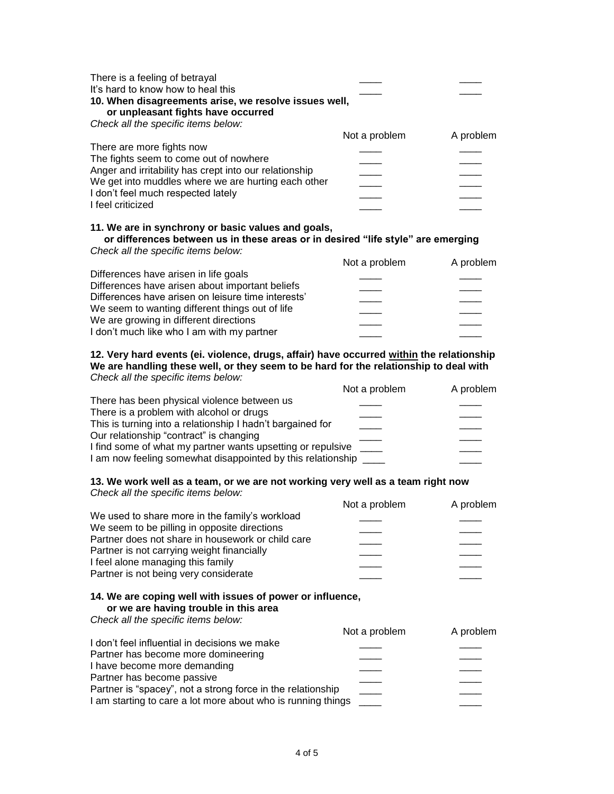| There is a feeling of betrayal<br>It's hard to know how to heal this<br>10. When disagreements arise, we resolve issues well,<br>or unpleasant fights have occurred<br>Check all the specific items below:                                      |               |           |
|-------------------------------------------------------------------------------------------------------------------------------------------------------------------------------------------------------------------------------------------------|---------------|-----------|
|                                                                                                                                                                                                                                                 | Not a problem | A problem |
| There are more fights now<br>The fights seem to come out of nowhere<br>Anger and irritability has crept into our relationship<br>We get into muddles where we are hurting each other<br>I don't feel much respected lately<br>I feel criticized |               |           |
| 11. We are in synchrony or basic values and goals,<br>or differences between us in these areas or in desired "life style" are emerging<br>Check all the specific items below:                                                                   |               |           |
|                                                                                                                                                                                                                                                 | Not a problem | A problem |

|                                                    | $\sqrt{2}$ |
|----------------------------------------------------|------------|
| Differences have arisen in life goals              |            |
| Differences have arisen about important beliefs    |            |
| Differences have arisen on leisure time interests' |            |
| We seem to wanting different things out of life    |            |
| We are growing in different directions             |            |
| I don't much like who I am with my partner         |            |
|                                                    |            |

#### **12. Very hard events (ei. violence, drugs, affair) have occurred within the relationship We are handling these well, or they seem to be hard for the relationship to deal with** *Check all the specific items below:*

| chook an the oppoint norne solom.                           |               |           |
|-------------------------------------------------------------|---------------|-----------|
|                                                             | Not a problem | A problem |
| There has been physical violence between us                 |               |           |
| There is a problem with alcohol or drugs                    |               |           |
| This is turning into a relationship I hadn't bargained for  |               |           |
| Our relationship "contract" is changing                     |               |           |
| I find some of what my partner wants upsetting or repulsive |               |           |
| I am now feeling somewhat disappointed by this relationship |               |           |
|                                                             |               |           |

#### **13. We work well as a team, or we are not working very well as a team right now** *Check all the specific items below:*

| Check all the specific items below:               |               |           |
|---------------------------------------------------|---------------|-----------|
|                                                   | Not a problem | A problem |
| We used to share more in the family's workload    |               |           |
| We seem to be pilling in opposite directions      |               |           |
| Partner does not share in housework or child care |               |           |
| Partner is not carrying weight financially        |               |           |
| I feel alone managing this family                 |               |           |
| Partner is not being very considerate             |               |           |

### **14. We are coping well with issues of power or influence, or we are having trouble in this area**

*Check all the specific items below:*

|                                                              | Not a problem | A problem |
|--------------------------------------------------------------|---------------|-----------|
| I don't feel influential in decisions we make                |               |           |
| Partner has become more domineering                          |               |           |
| I have become more demanding                                 |               |           |
| Partner has become passive                                   |               |           |
| Partner is "spacey", not a strong force in the relationship  |               |           |
| I am starting to care a lot more about who is running things |               |           |
|                                                              |               |           |